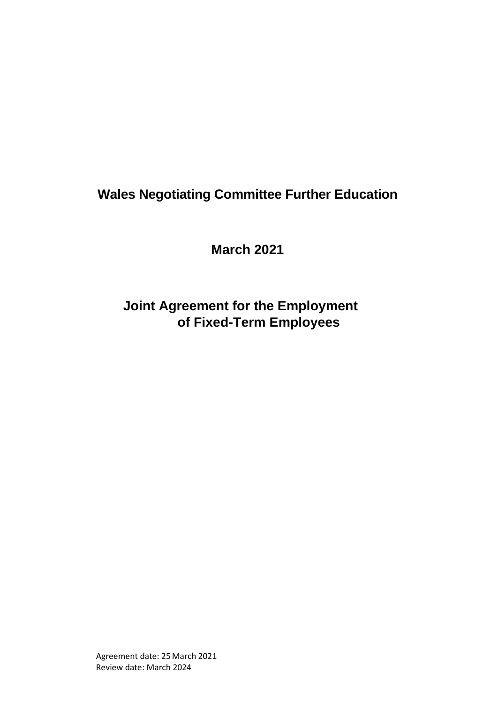# **Wales Negotiating Committee Further Education**

**March 2021**

**Joint Agreement for the Employment of Fixed-Term Employees**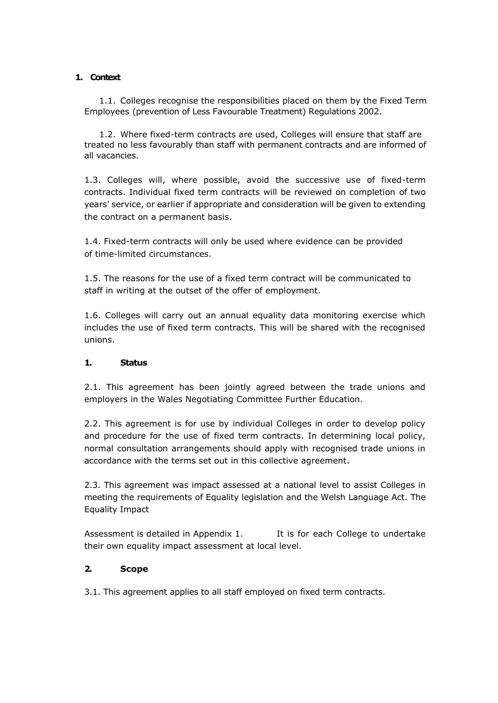#### **1. Context**

1.1. Colleges recognise the responsibilities placed on them by the Fixed Term Employees (prevention of Less Favourable Treatment) Regulations 2002.

1.2. Where fixed-term contracts are used, Colleges will ensure that staff are treated no less favourably than staff with permanent contracts and are informed of all vacancies.

1.3. Colleges will, where possible, avoid the successive use of fixed-term contracts. Individual fixed term contracts will be reviewed on completion of two years' service, or earlier if appropriate and consideration will be given to extending the contract on a permanent basis.

1.4. Fixed-term contracts will only be used where evidence can be provided of time-limited circumstances.

1.5. The reasons for the use of a fixed term contract will be communicated to staff in writing at the outset of the offer of employment.

1.6. Colleges will carry out an annual equality data monitoring exercise which includes the use of fixed term contracts. This will be shared with the recognised unions.

## **1. Status**

2.1. This agreement has been jointly agreed between the trade unions and employers in the Wales Negotiating Committee Further Education.

2.2. This agreement is for use by individual Colleges in order to develop policy and procedure for the use of fixed term contracts. In determining local policy, normal consultation arrangements should apply with recognised trade unions in accordance with the terms set out in this collective agreement.

2.3. This agreement was impact assessed at a national level to assist Colleges in meeting the requirements of Equality legislation and the Welsh Language Act. The Equality Impact

Assessment is detailed in Appendix 1. It is for each College to undertake their own equality impact assessment at local level.

## **2. Scope**

3.1. This agreement applies to all staff employed on fixed term contracts.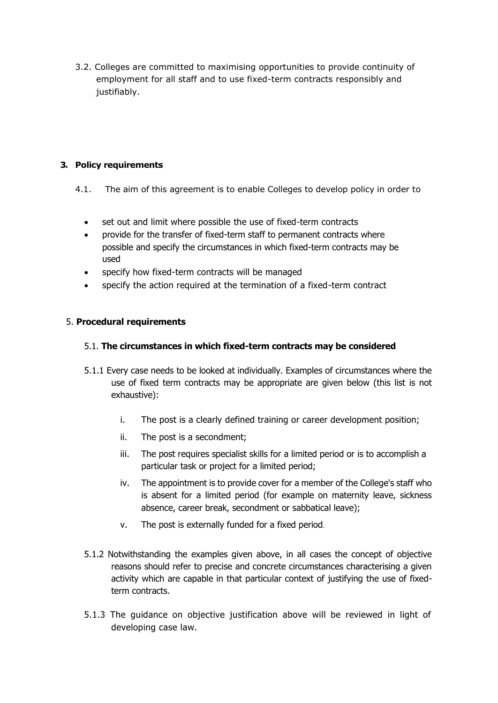3.2. Colleges are committed to maximising opportunities to provide continuity of employment for all staff and to use fixed-term contracts responsibly and justifiably.

# **3. Policy requirements**

- 4.1. The aim of this agreement is to enable Colleges to develop policy in order to
	- set out and limit where possible the use of fixed-term contracts
	- provide for the transfer of fixed-term staff to permanent contracts where possible and specify the circumstances in which fixed-term contracts may be used
	- specify how fixed-term contracts will be managed
	- specify the action required at the termination of a fixed-term contract

# 5. **Procedural requirements**

# 5.1. **The circumstances in which fixed-term contracts may be considered**

- 5.1.1 Every case needs to be looked at individually. Examples of circumstances where the use of fixed term contracts may be appropriate are given below (this list is not exhaustive):
	- i. The post is a clearly defined training or career development position;
	- ii. The post is a secondment;
	- iii. The post requires specialist skills for a limited period or is to accomplish a particular task or project for a limited period;
	- iv. The appointment is to provide cover for a member of the College's staff who is absent for a limited period (for example on maternity leave, sickness absence, career break, secondment or sabbatical leave);
	- v. The post is externally funded for a fixed period.
- 5.1.2 Notwithstanding the examples given above, in all cases the concept of objective reasons should refer to precise and concrete circumstances characterising a given activity which are capable in that particular context of justifying the use of fixedterm contracts.
- 5.1.3 The guidance on objective justification above will be reviewed in light of developing case law.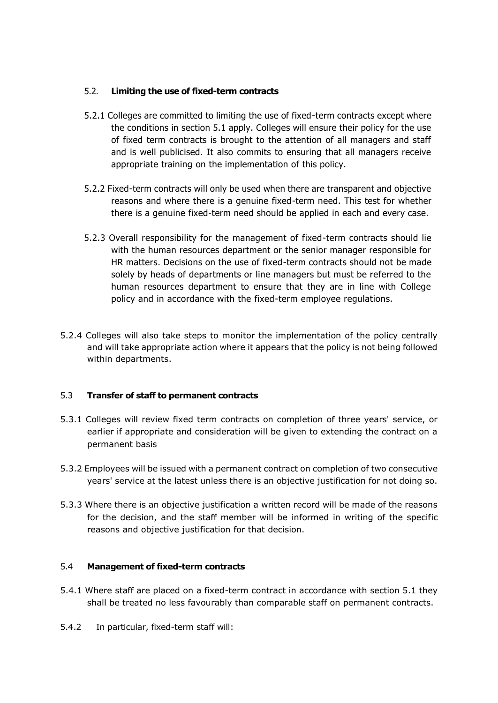# 5.2. **Limiting the use of fixed-term contracts**

- 5.2.1 Colleges are committed to limiting the use of fixed-term contracts except where the conditions in section 5.1 apply. Colleges will ensure their policy for the use of fixed term contracts is brought to the attention of all managers and staff and is well publicised. It also commits to ensuring that all managers receive appropriate training on the implementation of this policy.
- 5.2.2 Fixed-term contracts will only be used when there are transparent and objective reasons and where there is a genuine fixed-term need. This test for whether there is a genuine fixed-term need should be applied in each and every case.
- 5.2.3 Overall responsibility for the management of fixed-term contracts should lie with the human resources department or the senior manager responsible for HR matters. Decisions on the use of fixed-term contracts should not be made solely by heads of departments or line managers but must be referred to the human resources department to ensure that they are in line with College policy and in accordance with the fixed-term employee regulations.
- 5.2.4 Colleges will also take steps to monitor the implementation of the policy centrally and will take appropriate action where it appears that the policy is not being followed within departments.

## 5.3 **Transfer of staff to permanent contracts**

- 5.3.1 Colleges will review fixed term contracts on completion of three years' service, or earlier if appropriate and consideration will be given to extending the contract on a permanent basis
- 5.3.2 Employees will be issued with a permanent contract on completion of two consecutive years' service at the latest unless there is an objective justification for not doing so.
- 5.3.3 Where there is an objective justification a written record will be made of the reasons for the decision, and the staff member will be informed in writing of the specific reasons and objective justification for that decision.

## 5.4 **Management of fixed-term contracts**

- 5.4.1 Where staff are placed on a fixed-term contract in accordance with section 5.1 they shall be treated no less favourably than comparable staff on permanent contracts.
- 5.4.2 In particular, fixed-term staff will: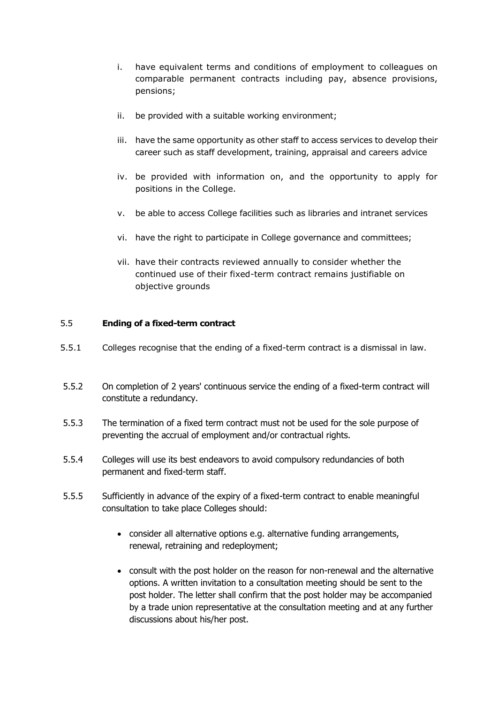- i. have equivalent terms and conditions of employment to colleagues on comparable permanent contracts including pay, absence provisions, pensions;
- ii. be provided with a suitable working environment;
- iii. have the same opportunity as other staff to access services to develop their career such as staff development, training, appraisal and careers advice
- iv. be provided with information on, and the opportunity to apply for positions in the College.
- v. be able to access College facilities such as libraries and intranet services
- vi. have the right to participate in College governance and committees;
- vii. have their contracts reviewed annually to consider whether the continued use of their fixed-term contract remains justifiable on objective grounds

#### 5.5 **Ending of a fixed-term contract**

- 5.5.1 Colleges recognise that the ending of a fixed-term contract is a dismissal in law.
- 5.5.2 On completion of 2 years' continuous service the ending of a fixed-term contract will constitute a redundancy.
- 5.5.3 The termination of a fixed term contract must not be used for the sole purpose of preventing the accrual of employment and/or contractual rights.
- 5.5.4 Colleges will use its best endeavors to avoid compulsory redundancies of both permanent and fixed-term staff.
- 5.5.5 Sufficiently in advance of the expiry of a fixed-term contract to enable meaningful consultation to take place Colleges should:
	- consider all alternative options e.g. alternative funding arrangements, renewal, retraining and redeployment;
	- consult with the post holder on the reason for non-renewal and the alternative options. A written invitation to a consultation meeting should be sent to the post holder. The letter shall confirm that the post holder may be accompanied by a trade union representative at the consultation meeting and at any further discussions about his/her post.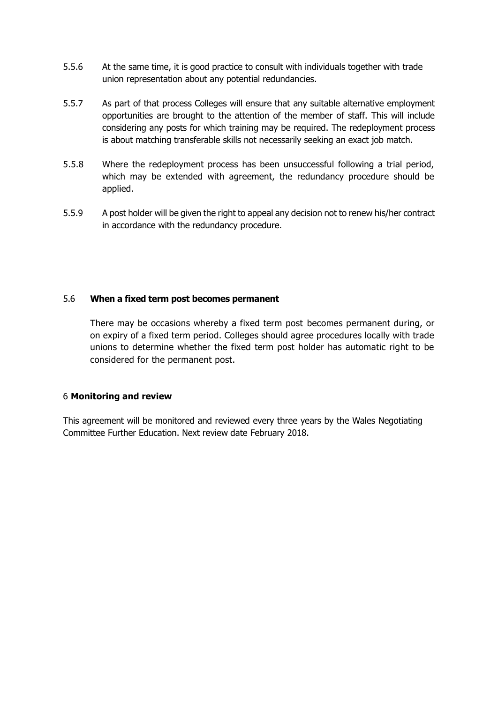- 5.5.6 At the same time, it is good practice to consult with individuals together with trade union representation about any potential redundancies.
- 5.5.7 As part of that process Colleges will ensure that any suitable alternative employment opportunities are brought to the attention of the member of staff. This will include considering any posts for which training may be required. The redeployment process is about matching transferable skills not necessarily seeking an exact job match.
- 5.5.8 Where the redeployment process has been unsuccessful following a trial period, which may be extended with agreement, the redundancy procedure should be applied.
- 5.5.9 A post holder will be given the right to appeal any decision not to renew his/her contract in accordance with the redundancy procedure.

## 5.6 **When a fixed term post becomes permanent**

There may be occasions whereby a fixed term post becomes permanent during, or on expiry of a fixed term period. Colleges should agree procedures locally with trade unions to determine whether the fixed term post holder has automatic right to be considered for the permanent post.

#### 6 **Monitoring and review**

This agreement will be monitored and reviewed every three years by the Wales Negotiating Committee Further Education. Next review date February 2018.